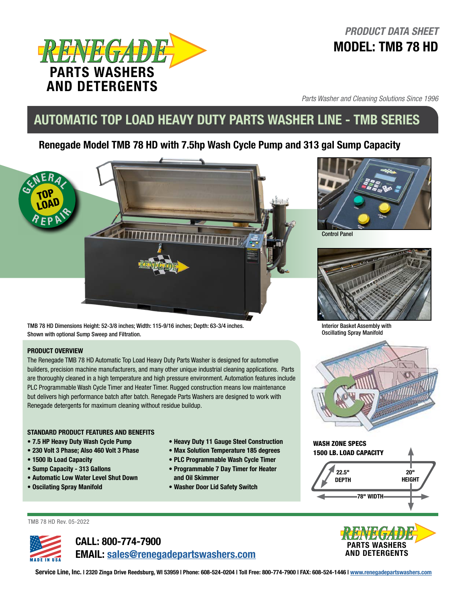

## *PRODUCT DATA SHEET* MODEL: TMB 78 HD

*Parts Washer and Cleaning Solutions Since 1996*

# AUTOMATIC TOP LOAD HEAVY DUTY PARTS WASHER LINE - TMB SERIES

### Renegade Model TMB 78 HD with 7.5hp Wash Cycle Pump and 313 gal Sump Capacity



TMB 78 HD Dimensions Height: 52-3/8 inches; Width: 115-9/16 inches; Depth: 63-3/4 inches. Shown with optional Sump Sweep and Filtration.

#### PRODUCT OVERVIEW

The Renegade TMB 78 HD Automatic Top Load Heavy Duty Parts Washer is designed for automotive builders, precision machine manufacturers, and many other unique industrial cleaning applications. Parts are thoroughly cleaned in a high temperature and high pressure environment. Automation features include PLC Programmable Wash Cycle Timer and Heater Timer. Rugged construction means low maintenance but delivers high performance batch after batch. Renegade Parts Washers are designed to work with Renegade detergents for maximum cleaning without residue buildup.

#### STANDARD PRODUCT FEATURES AND BENEFITS

- 7.5 HP Heavy Duty Wash Cycle Pump
- 230 Volt 3 Phase; Also 460 Volt 3 Phase
- 1500 lb Load Capacity
- Sump Capacity 313 Gallons
- Automatic Low Water Level Shut Down
- Oscilating Spray Manifold
- Heavy Duty 11 Gauge Steel Construction
- Max Solution Temperature 185 degrees
- PLC Programmable Wash Cycle Timer
- Programmable 7 Day Timer for Heater and Oil Skimmer
- Washer Door Lid Safety Switch



Control Panel



Interior Basket Assembly with Oscillating Spray Manifold





78" WIDTH





CALL: 800-774-7900 EMAIL: [sales@renegadepartswashers.com](mailto:sales%40renegadepartswashers.com?subject=)



Service Line, Inc. | 2320 Zinga Drive Reedsburg, WI 53959 | Phone: 608-524-0204 | Toll Free: 800-774-7900 | FAX: 608-524-1446 | [www.renegadepartswashers.com](http://www.renegadepartswashers.com)